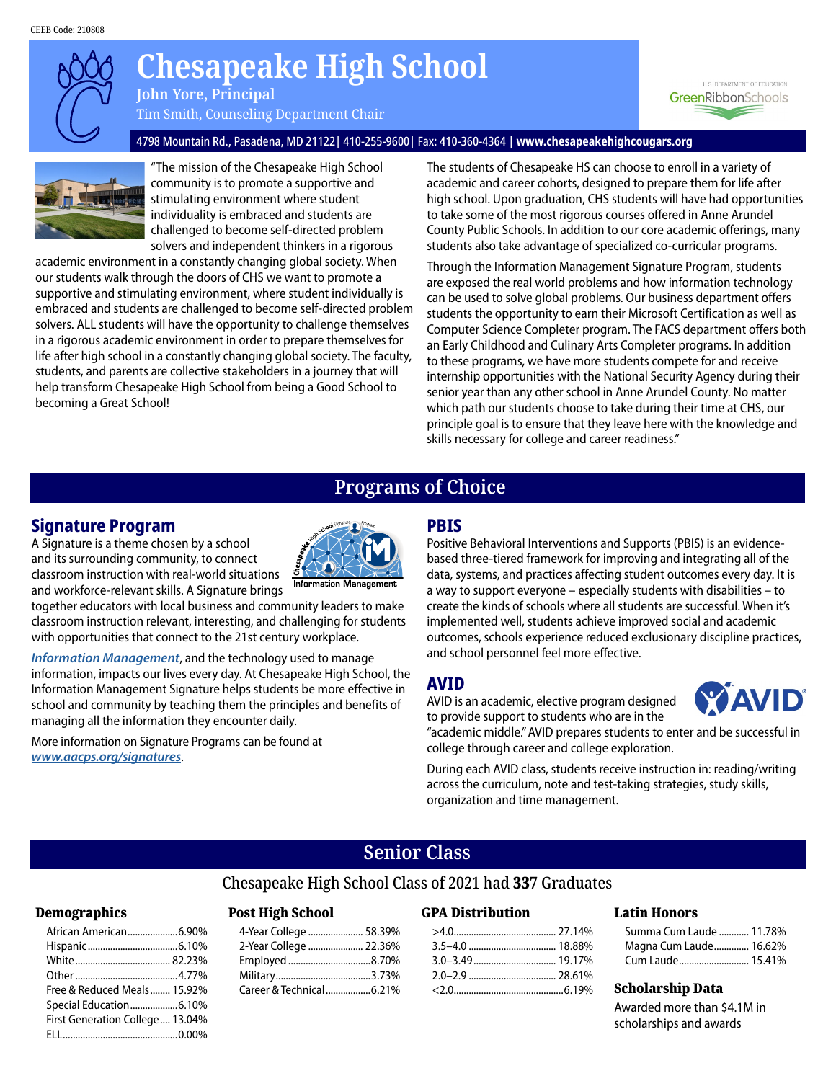

# **Annapolis High School Chesapeake High School**

**John Yore, Principal** Tim Smith, Counseling Department Chair

U.S. DEPARTMENT OF EDUCATION GreenRibbonSchools

#### 4798 Mountain Rd., Pasadena, MD 21122| 410-255-9600| Fax: 410-360-4364 | **www.chesapeakehighcougars.org**



"The mission of the Chesapeake High School community is to promote a supportive and stimulating environment where student individuality is embraced and students are challenged to become self-directed problem solvers and independent thinkers in a rigorous

academic environment in a constantly changing global society. When our students walk through the doors of CHS we want to promote a supportive and stimulating environment, where student individually is embraced and students are challenged to become self-directed problem solvers. ALL students will have the opportunity to challenge themselves in a rigorous academic environment in order to prepare themselves for life after high school in a constantly changing global society. The faculty, students, and parents are collective stakeholders in a journey that will help transform Chesapeake High School from being a Good School to becoming a Great School!

The students of Chesapeake HS can choose to enroll in a variety of academic and career cohorts, designed to prepare them for life after high school. Upon graduation, CHS students will have had opportunities to take some of the most rigorous courses offered in Anne Arundel County Public Schools. In addition to our core academic offerings, many students also take advantage of specialized co-curricular programs.

Through the Information Management Signature Program, students are exposed the real world problems and how information technology can be used to solve global problems. Our business department offers students the opportunity to earn their Microsoft Certification as well as Computer Science Completer program. The FACS department offers both an Early Childhood and Culinary Arts Completer programs. In addition to these programs, we have more students compete for and receive internship opportunities with the National Security Agency during their senior year than any other school in Anne Arundel County. No matter which path our students choose to take during their time at CHS, our principle goal is to ensure that they leave here with the knowledge and skills necessary for college and career readiness."

# **Programs of Choice Programs of Choice**

### **Signature Program**

A Signature is a theme chosen by a school and its surrounding community, to connect classroom instruction with real-world situations and workforce-relevant skills. A Signature brings

together educators with local business and community leaders to make classroom instruction relevant, interesting, and challenging for students with opportunities that connect to the 21st century workplace.

*[Information Management](www.aacps.org/chesapeakesignature)*, and the technology used to manage information, impacts our lives every day. At Chesapeake High School, the Information Management Signature helps students be more effective in school and community by teaching them the principles and benefits of managing all the information they encounter daily.

More information on Signature Programs can be found at *www.aacps.org/signatures*.



**Information Management** 

# **PBIS**

Positive Behavioral Interventions and Supports (PBIS) is an evidencebased three-tiered framework for improving and integrating all of the data, systems, and practices affecting student outcomes every day. It is a way to support everyone – especially students with disabilities – to create the kinds of schools where all students are successful. When it's implemented well, students achieve improved social and academic outcomes, schools experience reduced exclusionary discipline practices, and school personnel feel more effective.

### **AVID**

AVID is an academic, elective program designed to provide support to students who are in the



"academic middle." AVID prepares students to enter and be successful in college through career and college exploration.

During each AVID class, students receive instruction in: reading/writing across the curriculum, note and test-taking strategies, study skills, organization and time management.

# **Senior Class**

#### Chesapeake High School Class of 2021 had 337 Graduates

#### Demographics

| African American6.90%           |  |
|---------------------------------|--|
|                                 |  |
|                                 |  |
|                                 |  |
| Free & Reduced Meals 15.92%     |  |
|                                 |  |
| First Generation College 13.04% |  |
|                                 |  |

#### Post High School

| 4-Year College  58.39% |  |
|------------------------|--|
| 2-Year College  22.36% |  |
| Employed 8.70%         |  |
|                        |  |
|                        |  |

#### GPA Distribution

#### Latin Honors

| Summa Cum Laude  11.78% |  |
|-------------------------|--|
| Magna Cum Laude 16.62%  |  |
| Cum Laude 15.41%        |  |

#### Scholarship Data

Awarded more than \$4.1M in scholarships and awards